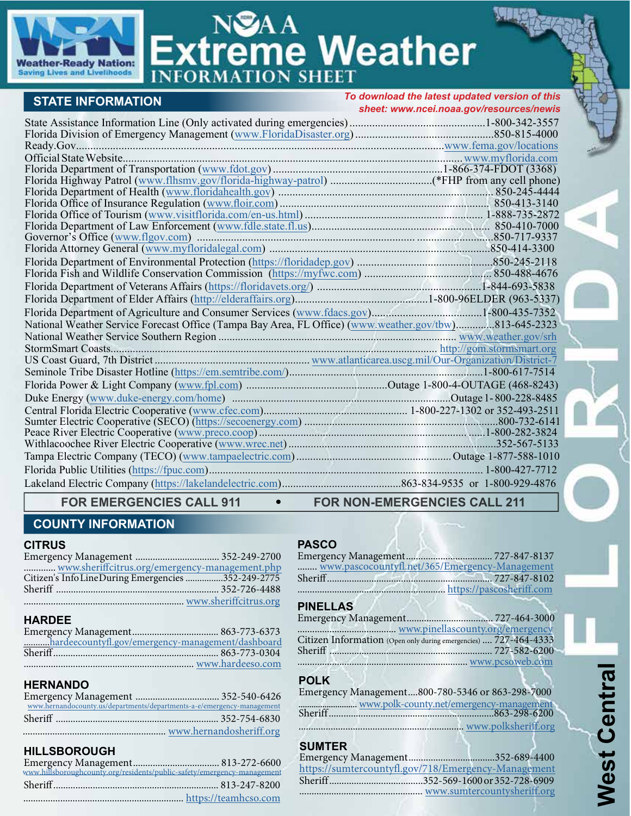

# NSAA<br>Extreme Weather

# **STATE INFORMATION**

*To download the latest updated version of this sheet: www.n[cei.noaa.gov/resources/newis](https://www.ngdc.noaa.gov/newis/)*

| National Weather Service Forecast Office (Tampa Bay Area, FL Office) (www.weather.gov/tbw)813-645-2323 |  |
|--------------------------------------------------------------------------------------------------------|--|
|                                                                                                        |  |
|                                                                                                        |  |
|                                                                                                        |  |
|                                                                                                        |  |
|                                                                                                        |  |
|                                                                                                        |  |
|                                                                                                        |  |
|                                                                                                        |  |
|                                                                                                        |  |
|                                                                                                        |  |
|                                                                                                        |  |
|                                                                                                        |  |
|                                                                                                        |  |
|                                                                                                        |  |
|                                                                                                        |  |
|                                                                                                        |  |
|                                                                                                        |  |
|                                                                                                        |  |
|                                                                                                        |  |
|                                                                                                        |  |
|                                                                                                        |  |
|                                                                                                        |  |
|                                                                                                        |  |
|                                                                                                        |  |
|                                                                                                        |  |
|                                                                                                        |  |
|                                                                                                        |  |
|                                                                                                        |  |
|                                                                                                        |  |
|                                                                                                        |  |

#### FOR EMERGENCIES CALL 911 FOR NON-EMERGENCIES CALL 211

# **COUNTY INFORMATION**

#### **CITRUS**

| www.sheriffcitrus.org/emergency-management.php     |  |
|----------------------------------------------------|--|
| Citizen's Info LineDuring Emergencies 352-249-2775 |  |
|                                                    |  |
|                                                    |  |
|                                                    |  |

#### **HARDEE**

| hardeecountyfl.gov/emergency-management/dashboard |  |
|---------------------------------------------------|--|
|                                                   |  |
|                                                   |  |
|                                                   |  |

#### **HERNANDO**

| www.hernandocounty.us/departments/departments-a-e/emergency-management |  |  |
|------------------------------------------------------------------------|--|--|
|                                                                        |  |  |
|                                                                        |  |  |

# **HILLSBOROUGH**

## **PASCO**

| www.pascocountyfl.net/365/Emergency-Management |  |
|------------------------------------------------|--|
|                                                |  |
|                                                |  |

## **PINELLAS**

| Citizen Information (Open only during emergencies)  727-464-4333 |  |
|------------------------------------------------------------------|--|
|                                                                  |  |
|                                                                  |  |

## **POLK**

| Emergency Management800-780-5346 or 863-298-7000 |  |
|--------------------------------------------------|--|
|                                                  |  |
|                                                  |  |
|                                                  |  |

#### **SUMTER**

| https://sumtercountyfl.gov/718/Emergency-Management |  |
|-----------------------------------------------------|--|
|                                                     |  |
|                                                     |  |
|                                                     |  |